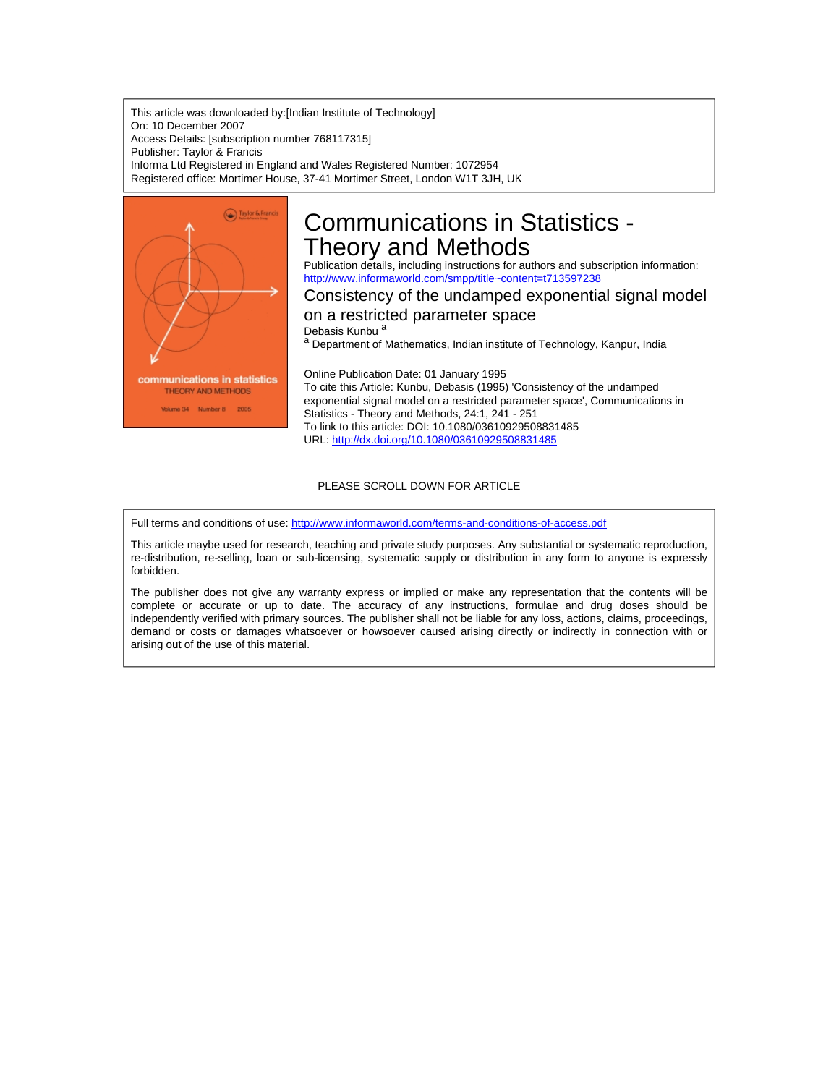This article was downloaded by:[Indian Institute of Technology] On: 10 December 2007 Access Details: [subscription number 768117315] Publisher: Taylor & Francis Informa Ltd Registered in England and Wales Registered Number: 1072954 Registered office: Mortimer House, 37-41 Mortimer Street, London W1T 3JH, UK



# Communications in Statistics - Theory and Methods

Publication details, including instructions for authors and subscription information: <http://www.informaworld.com/smpp/title~content=t713597238>

# Consistency of the undamped exponential signal model

# on a restricted parameter space

Debasis Kunbu<sup>a</sup>

a Department of Mathematics, Indian institute of Technology, Kanpur, India

Online Publication Date: 01 January 1995 To cite this Article: Kunbu, Debasis (1995) 'Consistency of the undamped exponential signal model on a restricted parameter space', Communications in Statistics - Theory and Methods, 24:1, 241 - 251 To link to this article: DOI: 10.1080/03610929508831485 URL: <http://dx.doi.org/10.1080/03610929508831485>

## PLEASE SCROLL DOWN FOR ARTICLE

Full terms and conditions of use: <http://www.informaworld.com/terms-and-conditions-of-access.pdf>

This article maybe used for research, teaching and private study purposes. Any substantial or systematic reproduction, re-distribution, re-selling, loan or sub-licensing, systematic supply or distribution in any form to anyone is expressly forbidden.

The publisher does not give any warranty express or implied or make any representation that the contents will be complete or accurate or up to date. The accuracy of any instructions, formulae and drug doses should be independently verified with primary sources. The publisher shall not be liable for any loss, actions, claims, proceedings, demand or costs or damages whatsoever or howsoever caused arising directly or indirectly in connection with or arising out of the use of this material.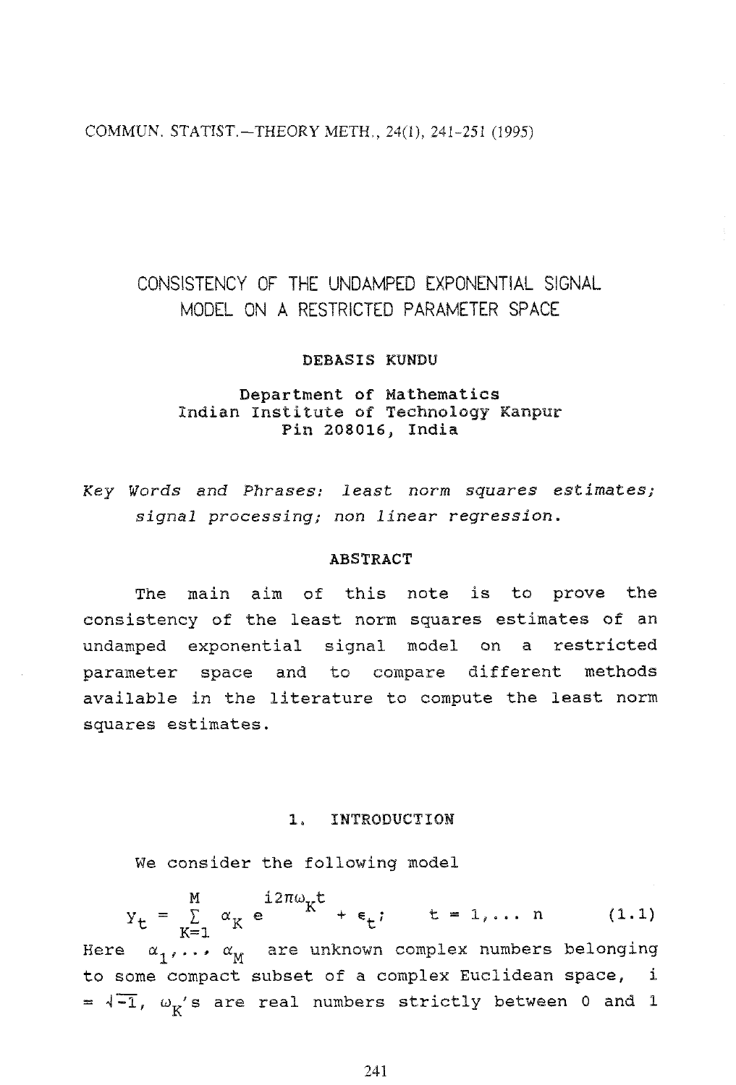COMMUN. STATIST.-THEORY METH., 24(1), 241-251 (1995)

# CONSISTENCY OF THE UNDAMPED EXPONENTIAL SIGNAL MODEL ON A RESTRICTED PARAMETER SPACE

#### DEBASIS KUNDU

# **Department of Mathematics**<br>Indian Institute of Technology Kanpur Pin 208016, India

Key Words and Phrases: least norm s uares **estimates;**  signal processing; non linear regression.

#### **ABSTRACT**

The main aim of this note is to prove the consistency of the least norm squares estimates of an undamped exponential signal model on a restricted parameter space and to compare different methods available in the literature to compute the least norm squares estimates.

#### 1. INTRODUCTION

We consider the following model

 $Y_t = \sum_{K=1}^{M} \alpha_K e^{i2\pi\omega_K t} + \epsilon_t; \qquad t = 1,... n$  (1.1)<br>Here  $\alpha_1,..., \alpha_M$  are unknown complex numbers belonging to some compact subset of a complex Euclidean space, i  $=$   $\sqrt{-1}$ ,  $\omega_K$ 's are real numbers strictly between 0 and 1

241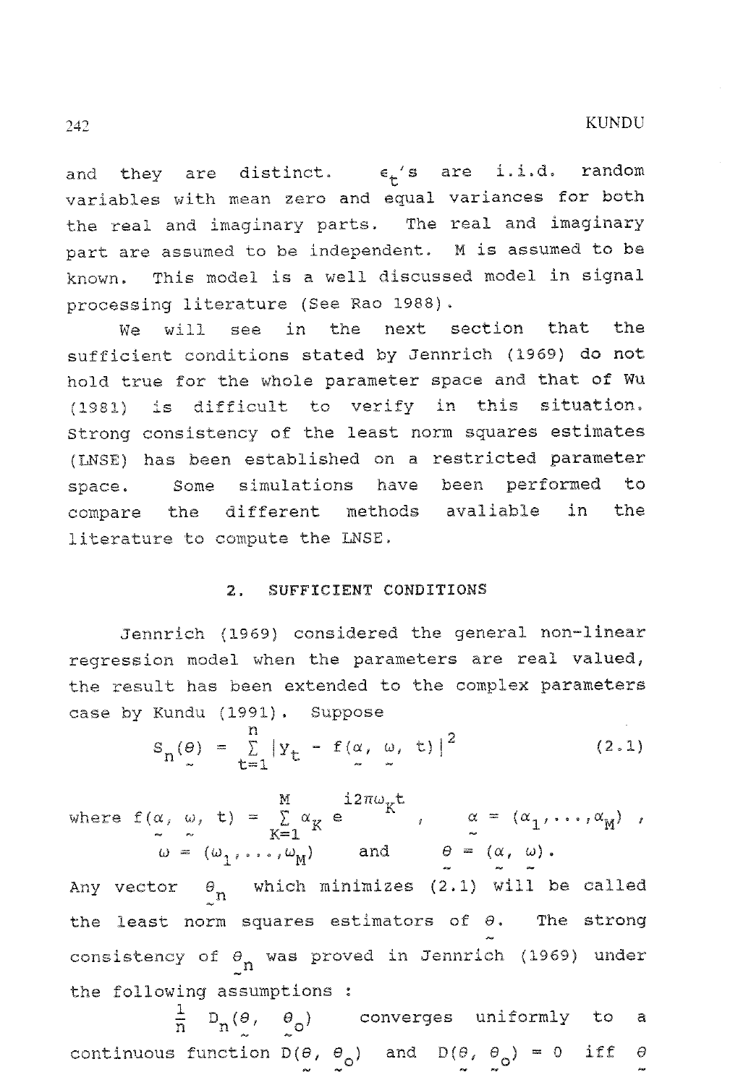and they are distinct.  $\epsilon_{\star}$ 's are i.i.d. random variables with mean zero and equal variances for both the real and imaginary parts. The real and imaginary part are assumed to be independent. M is assumed to be known. This model is a well discussed model in signal processing literature (See Xao 1988).

We will see in the next section that the sufficient conditions stated by Jennrich (1969) do not hold true for the whole parameter space and that of Wu **(1981)** is difficult to verify in this **situation,**  Strong consistency of the least norm squares estimates (WSE) has been established on a restricted parameter space. Some simulations have been performed to compare the different methods avaliable in the literature to compute the LNSE.

#### 2. SUFFICIENT CONDITIONS

Jennrich (1969) considered the general non-linear regression model when the parameters are real valued, the result has been extended to the complex parameters case by Kundu (1991). Suppose

$$
S_n(\theta) = \sum_{t=1}^n |Y_t - f(\alpha, \omega, t)|^2
$$
 (2.1)

where  $f(\alpha, \omega, t) = \sum_{K=1}^{M} \alpha_K e^{i2\pi \omega_K t}$ ,  $\alpha = (\alpha_1, ..., \alpha_M)$ ,<br>  $\omega = (\omega_1, ..., \omega_M)$  and  $\theta = (\alpha, \omega)$ . Any vector  $\begin{cases} \n\theta_n \quad \text{which minimizes} \quad (2.1) \quad \text{will be call}.\n\end{cases}$ the least norm squares estimators of  $\theta$ . The strong<br>  $\sim$ consistency of  $\theta_n$  was proved in Jennrich (1969) under the following assumptions :

 $\frac{1}{n}$  D<sub>n</sub>( $\theta$ ,  $\theta$ <sub>o</sub>) converges uniformly to a continuous function  $D(\theta, \theta_0)$  and  $D(\theta, \theta_0) = 0$  iff  $\theta$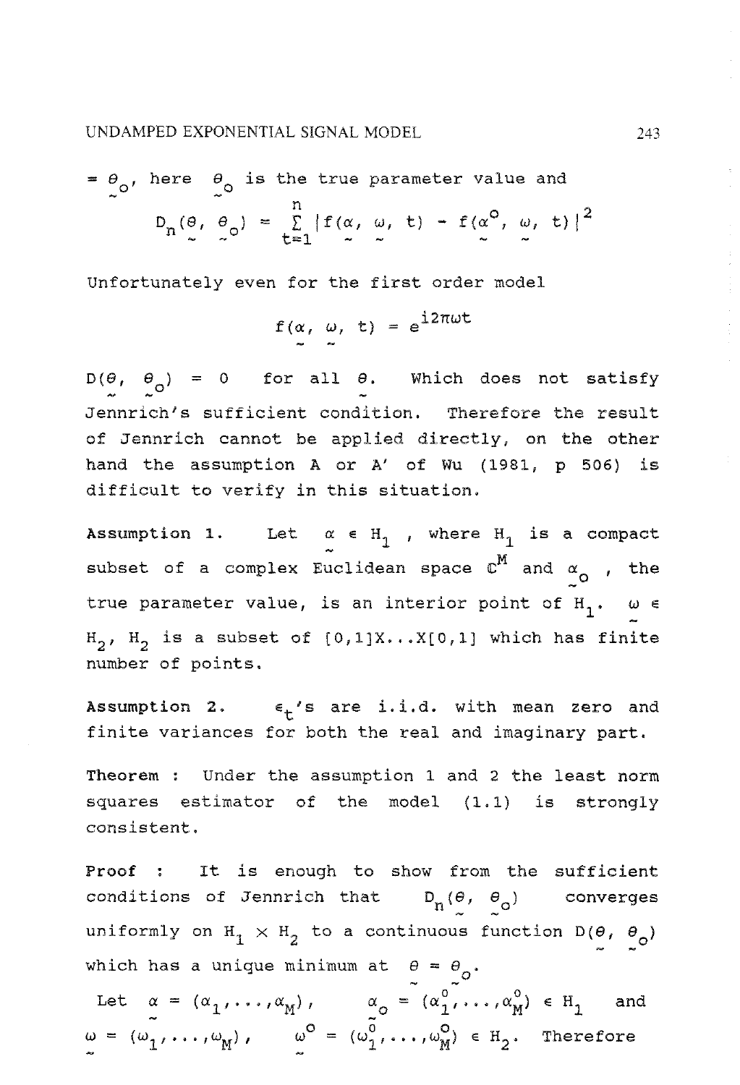UNDAMPED EXPONENTIAL SIGNAL MODEL

$$
= \theta_0, \text{ here } \theta_0 \text{ is the true parameter value and}
$$
  

$$
D_n(\theta, \theta_0) = \sum_{t=1}^n |f(\alpha, \omega, t) - f(\alpha^0, \omega, t)|^2
$$

Unfortunately even for the first order model

$$
f(\alpha, \omega, t) = e^{i2\pi\omega t}
$$

 $D(\theta, \theta_o) = 0$  for all  $\theta$ . Which does not satisfy Jennrich's sufficient condition. Therefore the result of Jennrich cannot be applied directly, on the other hand the assumption A or A' of Wu (1981, p 506) is difficult to verify in this situation.

Assumption 1. Let  $\alpha \in H_1$ , where  $H_1$  is a compact subset of a complex Euclidean space  $\mathbb{C}^M$  and  $\alpha_{\text{O}}$  , the true parameter value, is an interior point of  $H_1$ .  $\omega \in$ H<sub>2</sub>, H<sub>2</sub> is a subset of  $[0,1]X...X[0,1]$  which has finite number of points.

Assumption 2.  $\epsilon_{+}$ 's are i.i.d. with mean zero and finite variances for both the real and imaginary part.

Theorem : Under the assumption 1 and **2** the least norm squares estimator of the model (1.1) is strongly consistent.

Proof : It is enough to show from the sufficient conditions of Jennrich that  $D_n(\theta, \theta_o)$  converges uniformly on  $H_1 \times H_2$  to a continuous function  $D(\theta, \theta_o)$ which has a unique minimum at  $\theta = \theta_0$ .

hich has a unique minimum at  $\theta = \theta_o$ .<br>Let  $\alpha = (\alpha_1, ..., \alpha_M)$ ,  $\alpha_o = (\alpha_1^o, ..., \alpha_M^o) \in H_1$  and  $\omega = (\omega_1, \ldots, \omega_M)$ ,  $\omega^0 = (\omega_1^0, \ldots, \omega_M^0) \in H_2$ . Therefore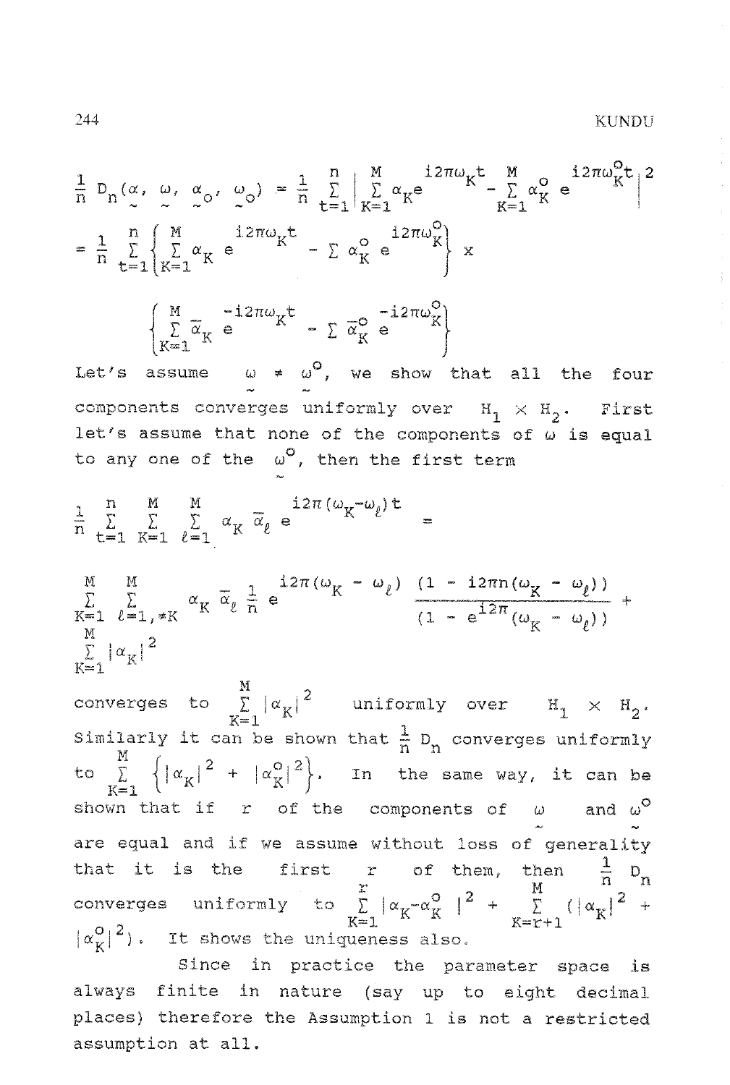$\frac{1}{n} D_n(\alpha, \omega, \alpha_0, \omega_0) = \frac{1}{n} \sum_{r=1}^n \left| \sum_{K=r}^M \alpha_K e^{-i2\pi \omega_K t} - \sum_{K=r}^M \alpha_K^O e^{-i2\pi \omega_K^O t} \right|^2$  $=$   $\frac{1}{n}$   $\sum_{k=1}^{n} \left\{ \sum_{K=1}^{M} \alpha_K e^{i2\pi \omega_K t} - \sum_{K} \alpha_K^{\circ} e^{i2\pi \omega_K^{\circ}} \right\} x$  $\left\{\begin{matrix} \mathbb{M} & -\mathrm{i}2\pi\omega_{K}^{+} \\ \sum\limits_{K=1}^{\infty}\overline{\alpha}_{K} & \mathbf{e} \end{matrix}\right. = \left.\begin{matrix} \sum\limits_{K=1}^{\infty}\overline{\alpha}_{K}^{0} & \mathbf{e} \end{matrix}\right.$ Let's assume  $\omega \neq \omega^0$ , we show that all the four components converges uniformly over  $H_1 \times H_2$ . First let's assume that none of the components of  $\omega$  is equal to any one of the  $\omega^0$ , then the first term  $\frac{1}{n} \sum_{t=1}^{n} \sum_{K=1}^{M} \sum_{\ell=1}^{M} \alpha_K \overline{\alpha}_{\ell} e^{-i2\pi (\omega_K - \omega_{\ell}) t} =$ M M<br>  $\sum_{K=1}^{M} \sum_{\ell=1, \neq K}^{M} \alpha_K \overline{\alpha}_{\ell} \frac{1}{n} e^{\frac{i2\pi(\omega_K - \omega_{\ell})}{(1 - e^{i2\pi}(\omega_K - \omega_{\ell}))}} +$  $\sum_{K=1}^{M} |\alpha_K|^2$  $\sup_{\text{converges}}$  to  $\sum_{\alpha}^{M} |\alpha_{\alpha}|^2$  uniformly over  $H_1 \times H_2$ .  $\leq 1$ Similarly it can be shown that  $\frac{1}{p}$  D<sub>n</sub> converges uniformly to  $\[\sum_{i=1}^{M} \left\{ |\alpha_K|^2 + |\alpha_K^0|^2 \right\}$ . In the same way, it can be shown that if  $r$  of the components of  $\omega$  and are equal and if we assume without loss of generality that it is the first r of them, then  $\frac{1}{n}$   $\frac{p}{n}$ converges uniformly to  $\sum_{\alpha} |\alpha_{\alpha}-\alpha_{\alpha}^{\circ}|^2$  +  $\sum_{\alpha} |\alpha_{\alpha}|^2$  + Exercises uniformity to  $L |a_K - a_K| + \sum_{K = r+1}$  $|\alpha_{\nu}^{\circ}|^2$ ). It shows the uniqueness also.

Since in practice the **parameter** space is always finite in nature (say up to eight decimal places) therefore the Assumption 1 is not a restricted assumption at all.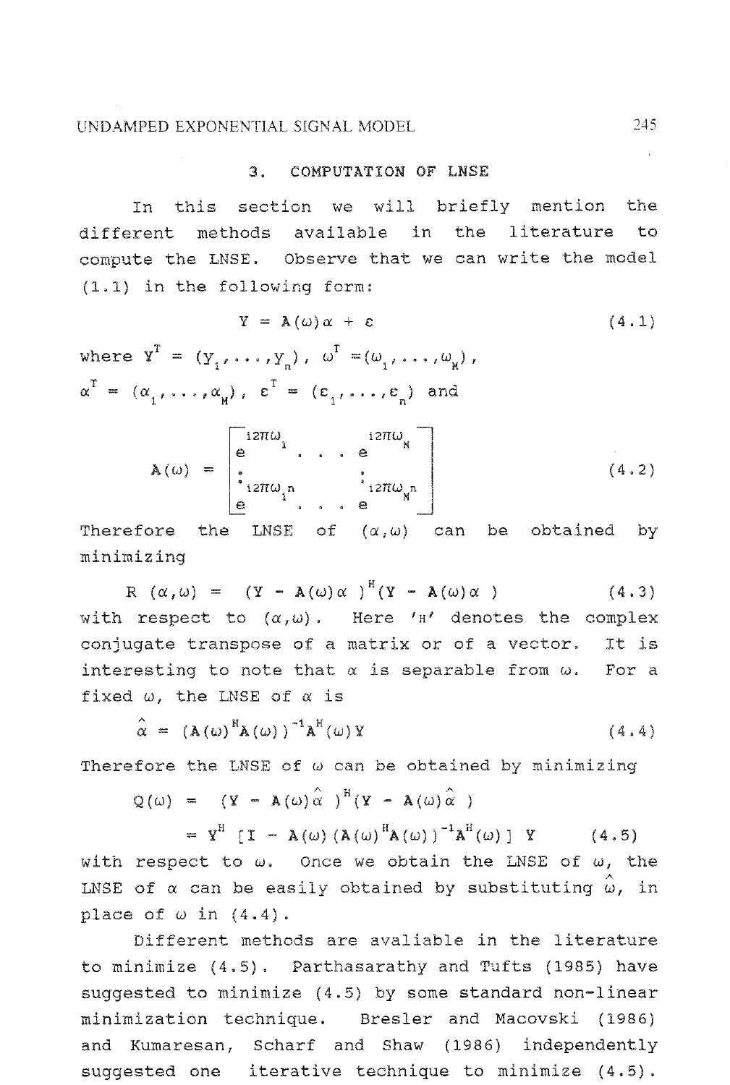#### 3. COMPUTATION OF LNSE

In this section we will briefly mention the different methods available in the literature to compute che LNSE. Observe that we can write the model **(1, I)** in the following form:

$$
Y = \mathbf{A}(\omega) \alpha + \varepsilon \qquad (4.1)
$$
  
where  $\mathbf{Y}^T = (Y_1, \dots, Y_n), \ \omega^T = (\omega_1, \dots, \omega_n),$   

$$
\alpha^T = (\alpha_1, \dots, \alpha_n), \ \varepsilon^T = (\varepsilon_1, \dots, \varepsilon_n) \text{ and}
$$
  

$$
\omega^T = \begin{bmatrix} 12\pi\omega_1 & 12\pi\omega_2 \\ \vdots & \vdots & \vdots \end{bmatrix}
$$

$$
\mathbf{A}(\omega) = \begin{bmatrix} e^{i2\pi i \omega} & e^{i2\pi i \omega} \\ \vdots & e^{i2\pi i \omega} \end{bmatrix}
$$
 (4.2)

Therefore the LNSE of  $(\alpha,\omega)$  can be obtained by minimizin

 $R(\alpha,\omega) = (Y - A(\omega)\alpha)^H(Y - A(\omega)\alpha)$  $(4.3)$ with respect to  $(\alpha,\omega)$ . Here '<sup>H'</sup> denotes the complex conjugate transpose of a matrix or of a vector. It is interesting to note that  $\alpha$  is separable from  $\omega$ . For a fixed  $\omega$ , the LNSE of  $\alpha$  is

$$
\hat{\alpha} = (\mathbf{A}(\omega)^{\mathrm{H}}\mathbf{A}(\omega))^{\mathrm{-1}}\mathbf{A}^{\mathrm{H}}(\omega)\mathbf{Y}
$$
\n(4.4)

Therefore the LNSE of  $\omega$  can be obtained by minimizing

$$
Q(\omega) = (Y - A(\omega)\hat{\alpha})^H (Y - A(\omega)\hat{\alpha})
$$

=  $Y^H$  [ I - A( $\omega$ ) (A( $\omega$ )<sup>H</sup>A( $\omega$ ))<sup>-1</sup>A<sup>H</sup>( $\omega$ ) | Y (4.5) with respect to  $\omega$ . Once we obtain the LNSE of  $\omega$ , the LNSE of  $\alpha$  can be easily obtained by substituting  $\hat{\omega}$ , in place of  $\omega$  in  $(4.4)$ .

Different methods are avaliable in the literature to minimize (4.5) . Parthasarathy and Tufts (1985) have suggested to minimize (4.5) by some standard non-linear minimization echnique. Bresler and Macovski **(1986)**  and Kumaresan, Scharf and Shaw **(1986)** independently suggested one iterative technique to minimize (4.5).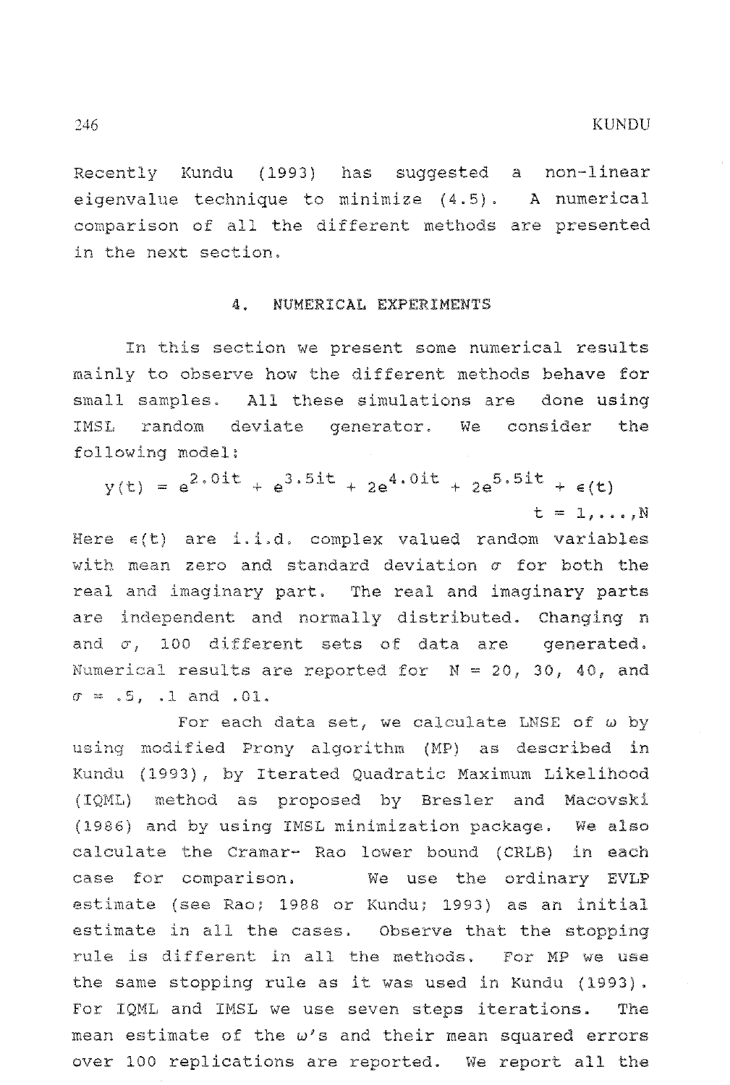Recently Kundu (1993) has suggested a non-linear eigenvalue technique to minimize (4.5). A numerical conparison of all the different methods are presente in the next section,

#### 4. NUMERICAL EXPERIMENTS

In this section we present some numerical results mainly to observe how the different methods behave for small samples. All these simulations are done using IMSL random deviate generator. We consider the

**2.011**  $x(t) = e^{2.0i t} + e^{3.5i t} + 2e^{4.0i t} + 2e^{5.5i t} + \epsilon(t)$  $t = 1, \ldots, N$ 

Here  $\varepsilon(t)$  are i.i.d. complex valued random variables with mean zero and standard deviation  $\sigma$  for both the real and imaginary part. The real and imaginary parts are independent and normally distributed. Changing n and  $\sigma$ , 100 different sets of data are generated. Numerical results are reported for  $N = 20$ , 30, 40, and  $\sigma = .5$ ,  $.1$  and  $.01$ .

For each data set, we calculate LNSE **of** w using modified Prony algorithm (MP) as described in Kundu (1993), by Iterated Quadratic Maximum Likelihood (IQML) method as proposed by Bresler and Macovski (1986) and by using IMSL minimization package. We also calculate the Cramar- Rao lower bound (CRLB) in each case for comparison. We use the ordinary EVLP estimate (see Rao; 1988 or Kundu; **1993)** as an initial estimate in all the cases. Observe that the stopping rule is **different** in **all the methods,** For MP we use the same stopping rule as it was used in Kundu (1993). For IQML and IMSL we use seven steps iterations. The mean estimate of the w's and their mean squared errors over 100 replications are reported. We report all the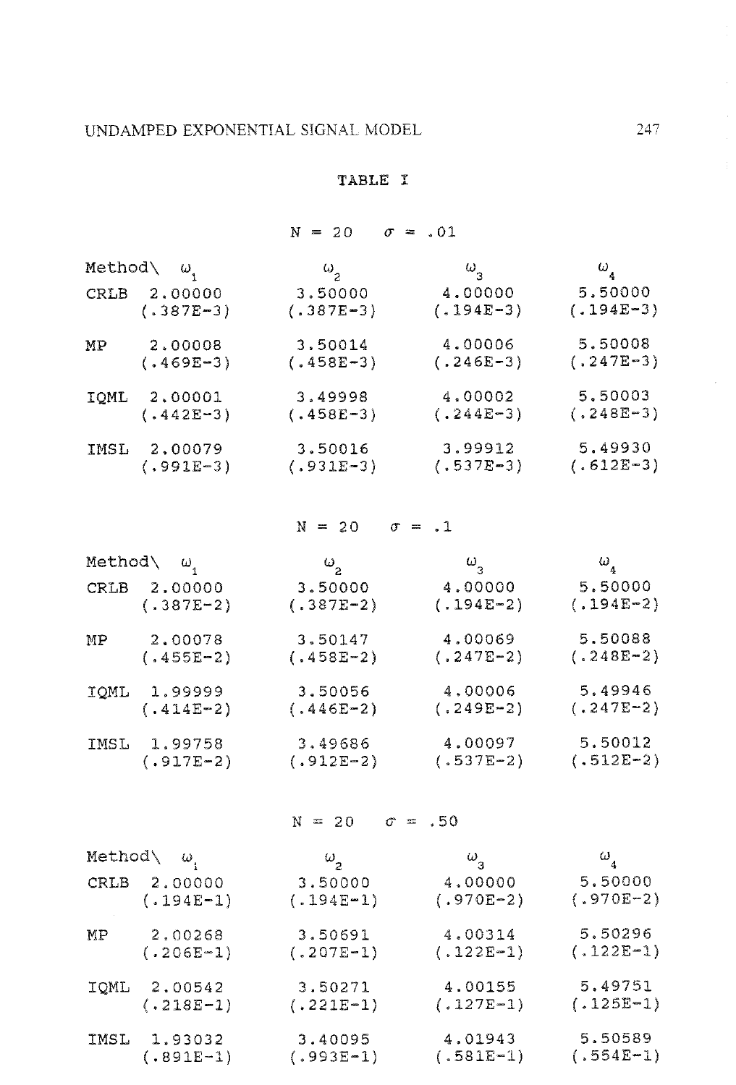## TABLE **I**

## $N = 20 \quad \sigma = .01$

|      | Method $\langle \omega_i$ | $\omega_{2}$                | $\omega_{3}$  | $\omega_{_4}$ |
|------|---------------------------|-----------------------------|---------------|---------------|
| CRLB | 2,00000                   | 3.50000                     | 4.00000       | 5.50000       |
|      | $(.387E-3)$               | $(.387E-3)$                 | $(.194E-3)$   | $(.194E-3)$   |
| MР   | 2,00008                   | 3.50014                     | 4.00006       | 5.50008       |
|      | $(.469E-3)$               | $(.458E-3)$                 | $(.246E-3)$   | $(.247E-3)$   |
| IQML | 2,00001                   | 3.49998                     | 4.00002       | 5.50003       |
|      | $(.442E-3)$               | $(.458E-3)$                 | $(.244E-3)$   | $(.248E-3)$   |
| IMSL | 2,00079                   | 3.50016                     | 3.99912       | 5,49930       |
|      | $(.991E-3)$               | $(.931E-3)$                 | $(.537E-3)$   | $(.612E-3)$   |
|      |                           | $N = 20$ $\sigma = 1$       |               |               |
|      | Method $\langle \omega_i$ | $\omega$ <sub>2</sub>       | $\omega_{_3}$ | $\omega_a$    |
|      | CRLB 2.00000              | 3.50000                     | 4,00000       | 5.50000       |
|      | $(.387E-2)$               | $(.387E-2)$                 | $(.194E-2)$   | $(.194E-2)$   |
| MP.  | 2,00078                   | 3.50147                     | 4,00069       | 5.50088       |
|      | $(.455E-2)$               | $(.458E-2)$                 | $(.247E-2)$   | $(.248E-2)$   |
|      | IQML 1.99999              | 3.50056                     | 4.00006       | 5.49946       |
|      | $(.414E-2)$               | $(.446E-2)$                 | $(.249E-2)$   | $(.247E-2)$   |
| IMSL | 1,99758                   | 3,49686                     | 4.00097       | 5,50012       |
|      | $(.917E-2)$               | $(.912E-2)$                 | $(.537E-2)$   | $(.512E-2)$   |
|      |                           | $N = 20 \quad \sigma = .50$ |               |               |
|      | Method $\langle \omega_i$ | $\omega$ <sub>2</sub>       | $\omega_{3}$  | $\omega_{4}$  |
| CRLB | 2,00000                   | 3.50000                     | 4,00000       | 5.50000       |
|      | $(.194E-1)$               | $(.194E-1)$                 | $(.970E-2)$   | $(.970E-2)$   |
| MP.  | 2,00268                   | 3.50691                     | 4.00314       | 5,50296       |
|      | $(.206E-1)$               | $(.207E-1)$                 | $(.122E-1)$   | $(.122E-1)$   |
|      | IQML 2.00542              | 3.50271                     | 4.00155       | 5.49751       |
|      | $(.218E-1)$               | $(.221E-1)$                 | $(.127E-1)$   | $(.125E-1)$   |
| IMSL | 1.93032                   | 3.40095                     | 4.01943       | 5.50589       |
|      | (.891E-1)                 | $(.993E-1)$                 | $(.581E-1)$   | $(.554E-1)$   |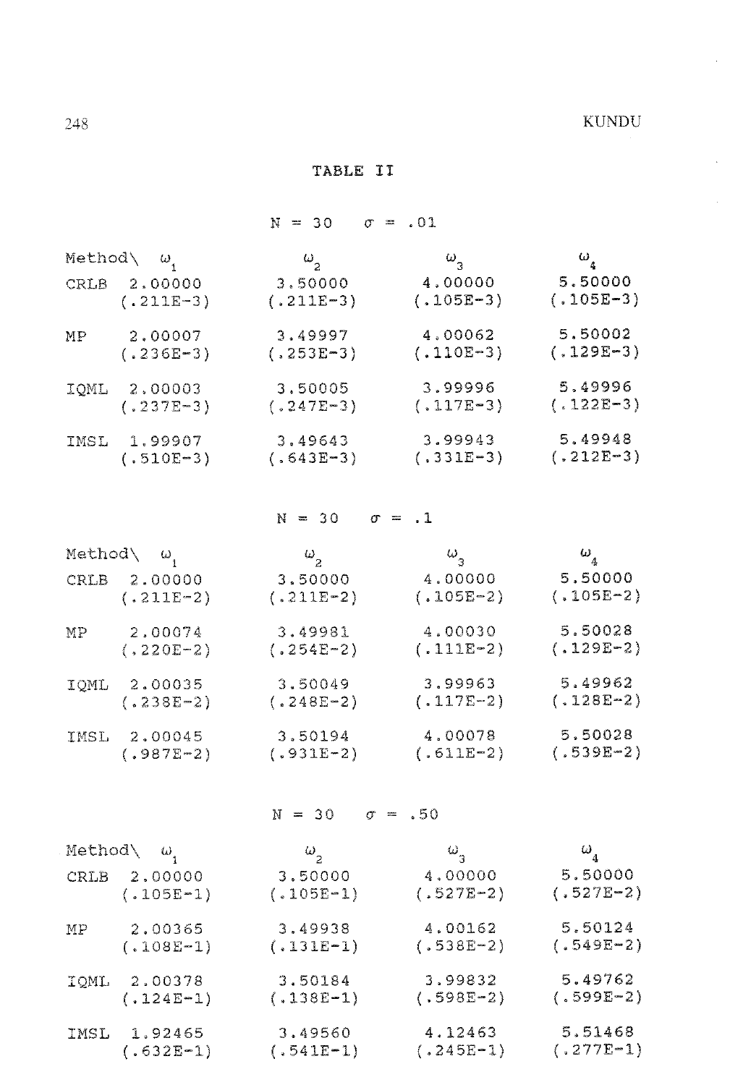$\mathcal{A}^{\pm}$ 

TABLE II

|      |                                        | $N = 30$                | $\sigma = .01$ |                        |
|------|----------------------------------------|-------------------------|----------------|------------------------|
|      | Method $\varphi$ $\omega$ <sub>1</sub> | $\omega_{2}$            | $\omega_{3}$   | $\omega_{\frac{1}{4}}$ |
|      | CRLB 2.00000                           | 3.50000                 | 4,00000        | 5.50000                |
|      | $(.211E-3)$                            | $(.211E-3)$             | $(.105E-3)$    | $(.105E-3)$            |
| MP.  | 2,00007                                | 3,49997                 | 4,00062        | 5.50002                |
|      | $(.236E-3)$                            | $(.253E-3)$             | $(.110E-3)$    | $(.129E-3)$            |
| IQML | 2,00003                                | 3,50005                 | 3,99996        | 5,49996                |
|      | $(.237E-3)$                            | $(.247E-3)$             | $(.117E-3)$    | $(.122E-3)$            |
| IMSL | 1,99907                                | 3,49643                 | 3,99943        | 5,49948                |
|      | $(.510E-3)$                            | $(.643E-3)$             | $(.331E-3)$    | $(.212E-3)$            |
|      |                                        | $N = 30$ $\sigma = .1$  |                |                        |
|      | Method\ ω <sub>,</sub>                 | $\omega_{2}$            | $\omega_{3}$   | $\omega_{_4}$          |
|      | CRLB 2.00000                           | 3.50000                 | 4.00000        | 5,50000                |
|      | $(.211E-2)$                            | $(.211E-2)$             | $(.105E-2)$    | $(.105E-2)$            |
| MP – | 2,00074                                | 3.49981                 | 4.00030        | 5.50028                |
|      | $(.220E-2)$                            | $(.254E-2)$             | $(.111E-2)$    | $(.129E-2)$            |
|      | IQML 2.00035                           | 3,50049                 | 3,99963        | 5.49962                |
|      | $(.238E - 2)$                          | $(.248E-2)$             | $(.117E-2)$    | $(.128E-2)$            |
|      | IMSL 2,00045                           | 3.50194                 | 4.00078        | 5.50028                |
|      | $(.987E-2)$                            | $(.931E-2)$             | $(.611E-2)$    | $(.539E-2)$            |
|      |                                        | $N = 30$ $\sigma = .50$ |                |                        |
|      | Method $\langle \omega_{i}$            | $\omega$ <sub>2</sub>   | $\omega_{3}$   | $\omega_{_4}$          |
|      | CRLB 2.00000                           | 3,50000                 | 4,00000        | 5.50000                |
|      | $(.105E-1)$                            | $(.105E-1)$             | $(.527E-2)$    | $(.527E-2)$            |
| МP   | 2.00365                                | 3,49938                 | 4.00162        | 5.50124                |
|      | $(.108E-1)$                            | $(.131E-1)$             | $(.538E-2)$    | $(.549E-2)$            |
|      | IQML 2.00378                           | 3.50184                 | 3.99832        | 5,49762                |
|      | $(.124E-1)$                            | $(.138E-1)$             | $(.598E-2)$    | $(.599E-2)$            |
|      | IMSL 1.92465                           | 3.49560                 | 4.12463        | 5.51468                |
|      | $(.632E-1)$                            | $(.541E-1)$             | $(.245E-1)$    | $(.277E-1)$            |
|      |                                        |                         |                |                        |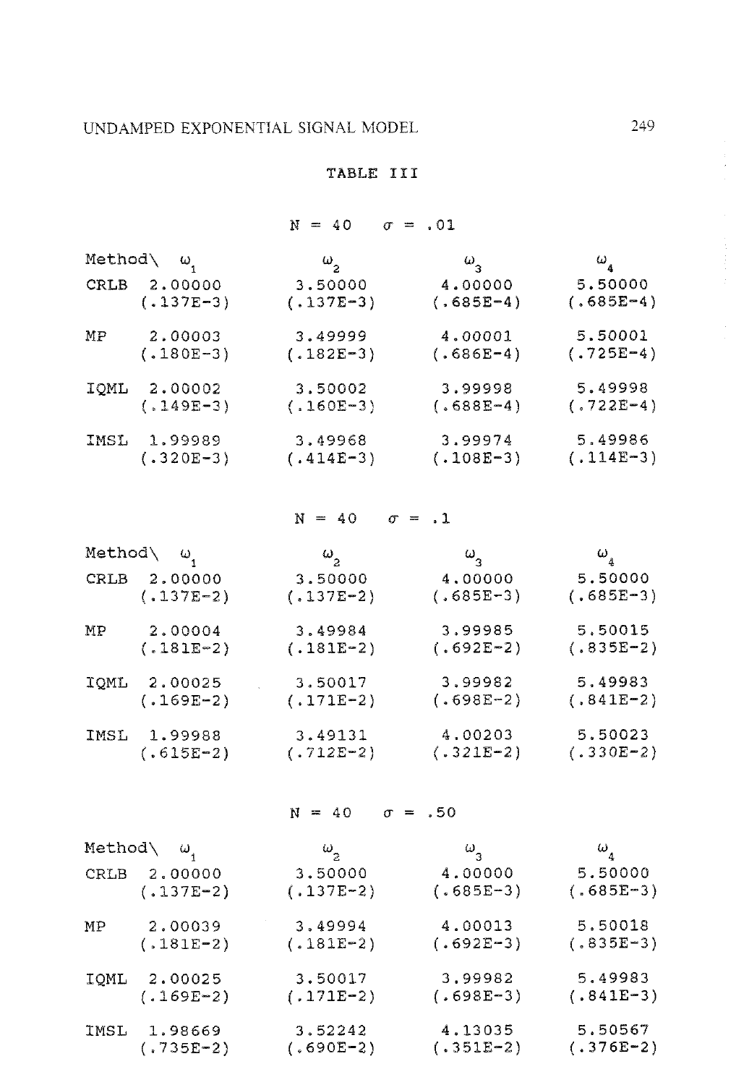## UNDAMPED EXPONENTIAL SIGNAL MODEL

 $(.735E-2)$ 

### **TABLE III**

 $N = 40$   $\sigma = .01$ 

|      | Method $\langle \omega_1$ | $\omega$ <sub>2</sub>  | $\omega_{3}$        | $\omega_{_4}$ |  |
|------|---------------------------|------------------------|---------------------|---------------|--|
|      | CRLB 2.00000              | 3.50000                | 4.00000             | 5.50000       |  |
|      | $(.137E-3)$               | $(.137E-3)$            | $(.685E-4)$         | $(.685E-4)$   |  |
| MP   | 2.00003                   | 3,49999                | 4.00001             | 5,50001       |  |
|      | $(.180E-3)$               | $(.182E-3)$            | $(.686E-4)$         | $(.725E-4)$   |  |
|      | IQML 2.00002              | 3,50002                | 3,99998             | 5.49998       |  |
|      | $(.149E-3)$               | $(.160E-3)$            | $(.688E-4)$         | $(.722E-4)$   |  |
|      | IMSL 1.99989              | 3.49968                | 3.99974             | 5,49986       |  |
|      | $(.320E-3)$               | $(.414E-3)$            | $(.108E-3)$         | $(.114E-3)$   |  |
|      |                           | $N = 40$ $\sigma = .1$ |                     |               |  |
|      | Method\ ω <sub>1</sub>    | $\omega_{_2}$          | $\omega_{\text{c}}$ | $\omega_{_4}$ |  |
|      | CRLB 2.00000              | 3.50000                | 4,00000             | 5.50000       |  |
|      | $(.137E-2)$               | $(.137E-2)$            | $(.685E-3)$         | $(.685E-3)$   |  |
| MР   | 2.00004                   | 3.49984                | 3,99985             | 5,50015       |  |
|      | $(.181E-2)$               | $(.181E-2)$            | $(.692E-2)$         | $(.835E-2)$   |  |
| IQML | 2.00025                   | 3.50017                | 3,99982             | 5,49983       |  |
|      | $(.169E-2)$               | $(.171E-2)$            | $(.698E-2)$         | $(.841E-2)$   |  |
|      | IMSL 1.99988              | 3.49131                | 4,00203             | 5.50023       |  |
|      | $(.615E-2)$               | $(.712E-2)$            | $(.321E-2)$         | $(.330E-2)$   |  |
|      | $N = 40$ $\sigma = .50$   |                        |                     |               |  |
|      | Method $\langle \omega_i$ | $\omega_{\rm p}$       | $\omega_{3}$        | $\omega_a$    |  |
| CRLB | 2.00000                   | 3,50000                | 4.00000             | 5.50000       |  |
|      | $(.137E-2)$               | $(.137E-2)$            | $(.685E-3)$         | $(.685E-3)$   |  |
| МP   | 2.00039                   | 3.49994                | 4.00013             | 5.50018       |  |
|      | $(.181E-2)$               | $(.181E-2)$            | $(.692E-3)$         | $(.835E-3)$   |  |
| IQML | 2.00025                   | 3.50017                | 3,99982             | 5.49983       |  |
|      | $(.169E-2)$               | $(.171E-2)$            | $(.698E-3)$         | $(.841E-3)$   |  |
| IMSL | 1.98669                   | 3.52242                | 4.13035             | 5.50567       |  |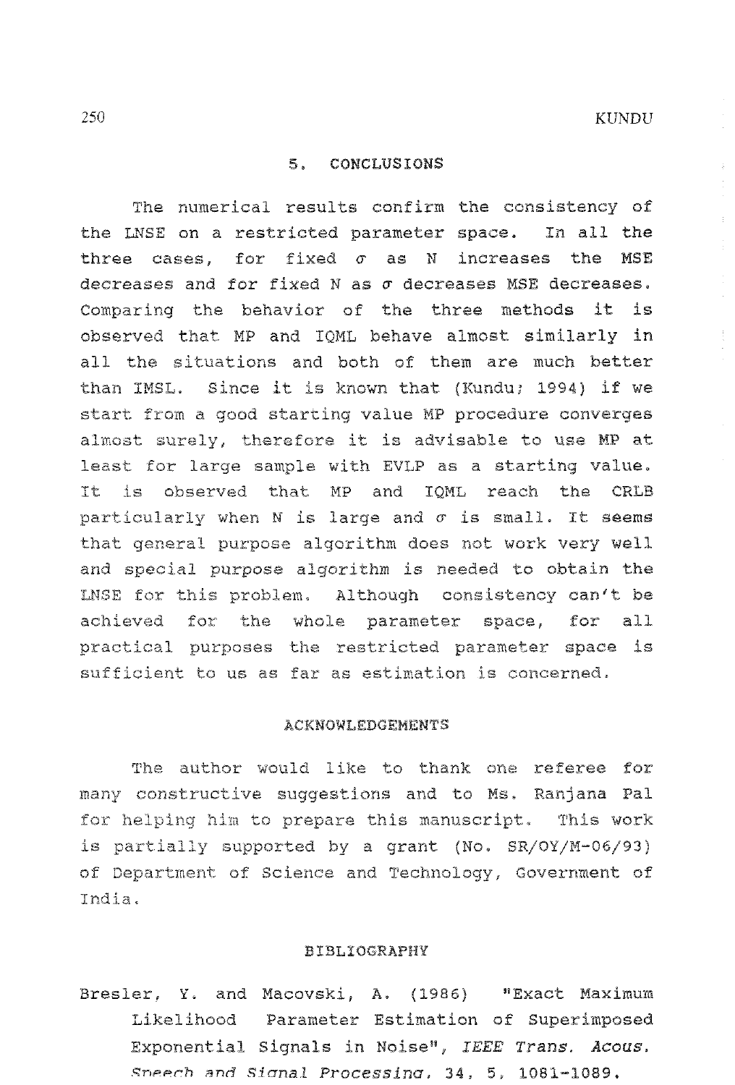#### 5. CONCLUSIONS

The numerical results confirm the consistency of the INSE on a restricted parameter space. In all the three cases, for fixed  $\sigma$  as N increases the MSE decreases and for fixed N as o decreases MSE decreases. Comparing the behavior of the three methods it is observed that MP and IQML behave almost similarly in all the situations and both of them are much better than IMSL. Since it is known that (Kundu; 1994) if we start from a good starting value MP procedure converges almost surely, therefore it is advisable to use MP at least for large sample with EVLP as a starting value. It is observed that MP and IOML reach the CRLB particularly when N is large and  $\sigma$  is small. It seems that general purpose algorithm does not work very well and special purpose algorithm is needed to obtain the LNSE for this problem. Although consistency can't be achieved for the whole parameter space, for all practical purposes the restricted parameter space is sufficient to us as far as estimation is concerned.

#### **ACKNOWLEDGEMENTS**

The author would like to thank one referee for many constructive suggestions and to Ms. Ranjana Pal for helping him to prepare this manuscript. This work is partially supported by a grant (No. SR/OY/M-06/93) of Department of Science and Technology, Government of India.

#### **BIBLIOGRAPHY**

Bresler, Y. and Macovski, A. (1986) "Exact Maximum Likelihood Parameter Estimation of Superimposed Exponential Signals in Noise", IEEE Trans. Acous. Sneech and Signal Processing, 34, 5, 1081-1089.